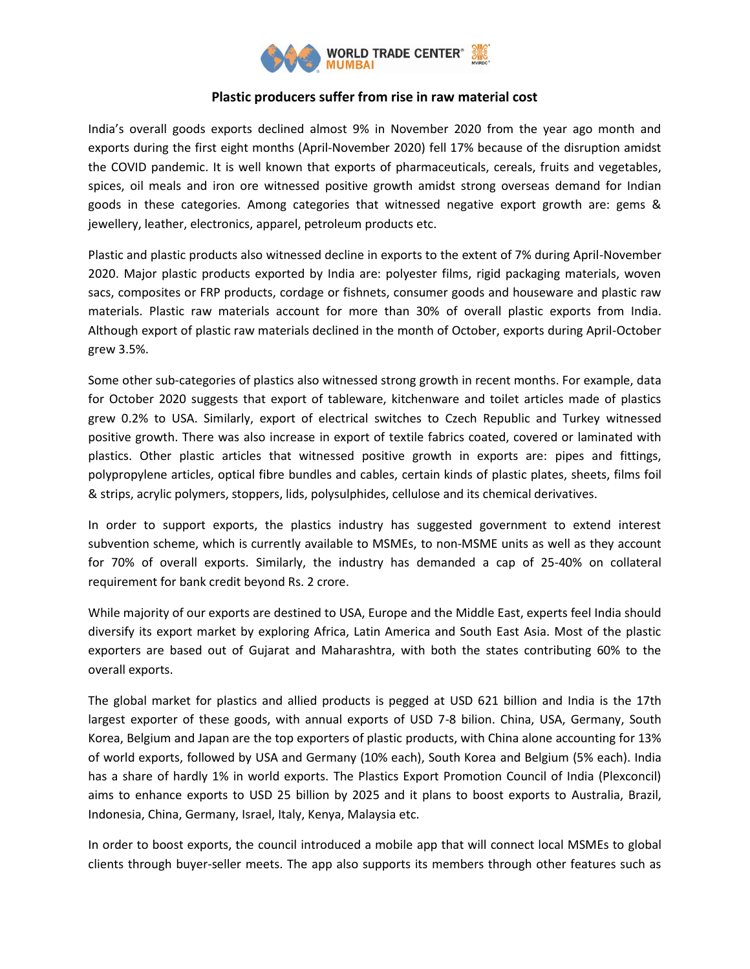

# **Plastic producers suffer from rise in raw material cost**

India's overall goods exports declined almost 9% in November 2020 from the year ago month and exports during the first eight months (April-November 2020) fell 17% because of the disruption amidst the COVID pandemic. It is well known that exports of pharmaceuticals, cereals, fruits and vegetables, spices, oil meals and iron ore witnessed positive growth amidst strong overseas demand for Indian goods in these categories. Among categories that witnessed negative export growth are: gems & jewellery, leather, electronics, apparel, petroleum products etc.

Plastic and plastic products also witnessed decline in exports to the extent of 7% during April-November 2020. Major plastic products exported by India are: polyester films, rigid packaging materials, woven sacs, composites or FRP products, cordage or fishnets, consumer goods and houseware and plastic raw materials. Plastic raw materials account for more than 30% of overall plastic exports from India. Although export of plastic raw materials declined in the month of October, exports during April-October grew 3.5%.

Some other sub-categories of plastics also witnessed strong growth in recent months. For example, data for October 2020 suggests that export of tableware, kitchenware and toilet articles made of plastics grew 0.2% to USA. Similarly, export of electrical switches to Czech Republic and Turkey witnessed positive growth. There was also increase in export of textile fabrics coated, covered or laminated with plastics. Other plastic articles that witnessed positive growth in exports are: pipes and fittings, polypropylene articles, optical fibre bundles and cables, certain kinds of plastic plates, sheets, films foil & strips, acrylic polymers, stoppers, lids, polysulphides, cellulose and its chemical derivatives.

In order to support exports, the plastics industry has suggested government to extend interest subvention scheme, which is currently available to MSMEs, to non-MSME units as well as they account for 70% of overall exports. Similarly, the industry has demanded a cap of 25-40% on collateral requirement for bank credit beyond Rs. 2 crore.

While majority of our exports are destined to USA, Europe and the Middle East, experts feel India should diversify its export market by exploring Africa, Latin America and South East Asia. Most of the plastic exporters are based out of Gujarat and Maharashtra, with both the states contributing 60% to the overall exports.

The global market for plastics and allied products is pegged at USD 621 billion and India is the 17th largest exporter of these goods, with annual exports of USD 7-8 bilion. China, USA, Germany, South Korea, Belgium and Japan are the top exporters of plastic products, with China alone accounting for 13% of world exports, followed by USA and Germany (10% each), South Korea and Belgium (5% each). India has a share of hardly 1% in world exports. The Plastics Export Promotion Council of India (Plexconcil) aims to enhance exports to USD 25 billion by 2025 and it plans to boost exports to Australia, Brazil, Indonesia, China, Germany, Israel, Italy, Kenya, Malaysia etc.

In order to boost exports, the council introduced a mobile app that will connect local MSMEs to global clients through buyer-seller meets. The app also supports its members through other features such as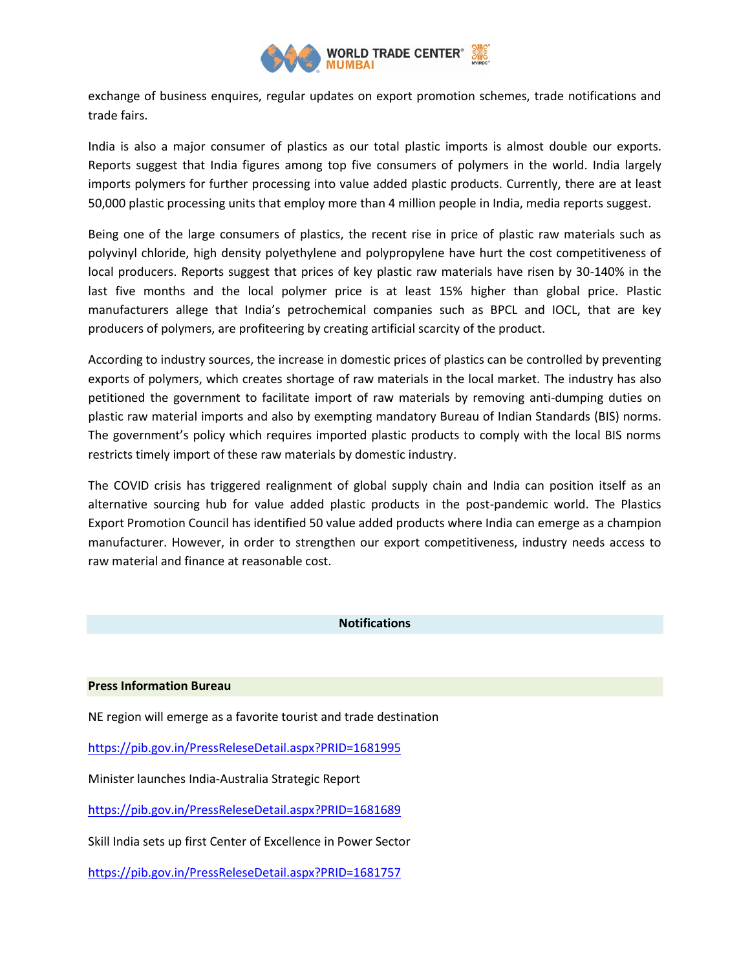

exchange of business enquires, regular updates on export promotion schemes, trade notifications and trade fairs.

India is also a major consumer of plastics as our total plastic imports is almost double our exports. Reports suggest that India figures among top five consumers of polymers in the world. India largely imports polymers for further processing into value added plastic products. Currently, there are at least 50,000 plastic processing units that employ more than 4 million people in India, media reports suggest.

Being one of the large consumers of plastics, the recent rise in price of plastic raw materials such as polyvinyl chloride, high density polyethylene and polypropylene have hurt the cost competitiveness of local producers. Reports suggest that prices of key plastic raw materials have risen by 30-140% in the last five months and the local polymer price is at least 15% higher than global price. Plastic manufacturers allege that India's petrochemical companies such as BPCL and IOCL, that are key producers of polymers, are profiteering by creating artificial scarcity of the product.

According to industry sources, the increase in domestic prices of plastics can be controlled by preventing exports of polymers, which creates shortage of raw materials in the local market. The industry has also petitioned the government to facilitate import of raw materials by removing anti-dumping duties on plastic raw material imports and also by exempting mandatory Bureau of Indian Standards (BIS) norms. The government's policy which requires imported plastic products to comply with the local BIS norms restricts timely import of these raw materials by domestic industry.

The COVID crisis has triggered realignment of global supply chain and India can position itself as an alternative sourcing hub for value added plastic products in the post-pandemic world. The Plastics Export Promotion Council has identified 50 value added products where India can emerge as a champion manufacturer. However, in order to strengthen our export competitiveness, industry needs access to raw material and finance at reasonable cost.

#### **Notifications**

#### **Press Information Bureau**

NE region will emerge as a favorite tourist and trade destination

<https://pib.gov.in/PressReleseDetail.aspx?PRID=1681995>

Minister launches India-Australia Strategic Report

<https://pib.gov.in/PressReleseDetail.aspx?PRID=1681689>

Skill India sets up first Center of Excellence in Power Sector

<https://pib.gov.in/PressReleseDetail.aspx?PRID=1681757>